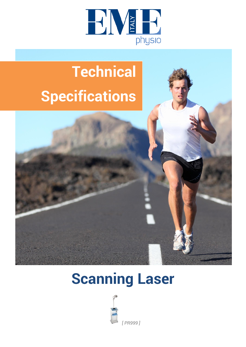

# **Technical Specifications**



## **Scanning Laser**

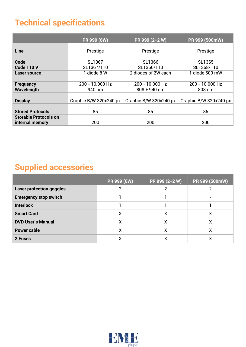#### **Technical specifications**

|                                                 | PR 999 (8W)            | PR 999 (2+2 W)         | PR 999 (500mW)         |
|-------------------------------------------------|------------------------|------------------------|------------------------|
| Line                                            | Prestige               | Prestige               | Prestige               |
| Code<br><b>Code 110 V</b>                       | SL1367<br>SL1367/110   | SL1366<br>SL1366/110   | SL1365<br>SL1368/110   |
| Laser source                                    | 1 diode 8 W            | 2 diodes of 2W each    | 1 diode 500 mW         |
| <b>Frequency</b>                                | 200 - 10.000 Hz        | 200 - 10.000 Hz        | 200 - 10.000 Hz        |
| Wavelength                                      | 940 nm                 | $808 + 940$ nm         | 808 nm                 |
| <b>Display</b>                                  | Graphic B/W 320x240 px | Graphic B/W 320x240 px | Graphic B/W 320x240 px |
| <b>Stored Protocols</b>                         | 85                     | 85                     | 85                     |
| <b>Storable Protocols on</b><br>internal memory | 200                    | 200                    | 200                    |

#### **Supplied accessories**

|                                 | PR 999 (8W) | PR 999 (2+2 W) | PR 999 (500mW) |
|---------------------------------|-------------|----------------|----------------|
| <b>Laser protection goggles</b> |             |                |                |
| <b>Emergency stop switch</b>    |             |                |                |
| <b>Interlock</b>                |             |                |                |
| <b>Smart Card</b>               | Χ           | X              | х              |
| <b>DVD User's Manual</b>        | Χ           | X              | х              |
| <b>Power cable</b>              | Χ           | χ              |                |
| 2 Fuses                         | х           | χ              |                |